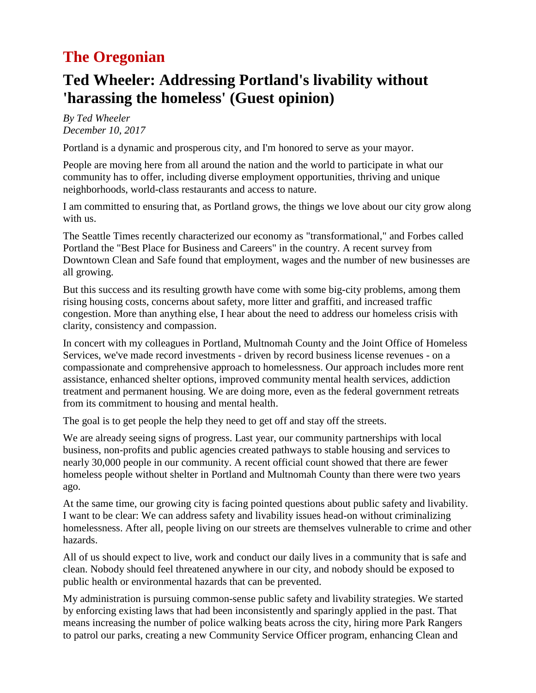### **The Oregonian**

### **Ted Wheeler: Addressing Portland's livability without 'harassing the homeless' (Guest opinion)**

*By Ted Wheeler December 10, 2017*

Portland is a dynamic and prosperous city, and I'm honored to serve as your mayor.

People are moving here from all around the nation and the world to participate in what our community has to offer, including diverse employment opportunities, thriving and unique neighborhoods, world-class restaurants and access to nature.

I am committed to ensuring that, as Portland grows, the things we love about our city grow along with us.

The Seattle Times recently characterized our economy as "transformational," and Forbes called Portland the "Best Place for Business and Careers" in the country. A recent survey from Downtown Clean and Safe found that employment, wages and the number of new businesses are all growing.

But this success and its resulting growth have come with some big-city problems, among them rising housing costs, concerns about safety, more litter and graffiti, and increased traffic congestion. More than anything else, I hear about the need to address our homeless crisis with clarity, consistency and compassion.

In concert with my colleagues in Portland, Multnomah County and the Joint Office of Homeless Services, we've made record investments - driven by record business license revenues - on a compassionate and comprehensive approach to homelessness. Our approach includes more rent assistance, enhanced shelter options, improved community mental health services, addiction treatment and permanent housing. We are doing more, even as the federal government retreats from its commitment to housing and mental health.

The goal is to get people the help they need to get off and stay off the streets.

We are already seeing signs of progress. Last year, our community partnerships with local business, non-profits and public agencies created pathways to stable housing and services to nearly 30,000 people in our community. A recent official count showed that there are fewer homeless people without shelter in Portland and Multnomah County than there were two years ago.

At the same time, our growing city is facing pointed questions about public safety and livability. I want to be clear: We can address safety and livability issues head-on without criminalizing homelessness. After all, people living on our streets are themselves vulnerable to crime and other hazards.

All of us should expect to live, work and conduct our daily lives in a community that is safe and clean. Nobody should feel threatened anywhere in our city, and nobody should be exposed to public health or environmental hazards that can be prevented.

My administration is pursuing common-sense public safety and livability strategies. We started by enforcing existing laws that had been inconsistently and sparingly applied in the past. That means increasing the number of police walking beats across the city, hiring more Park Rangers to patrol our parks, creating a new Community Service Officer program, enhancing Clean and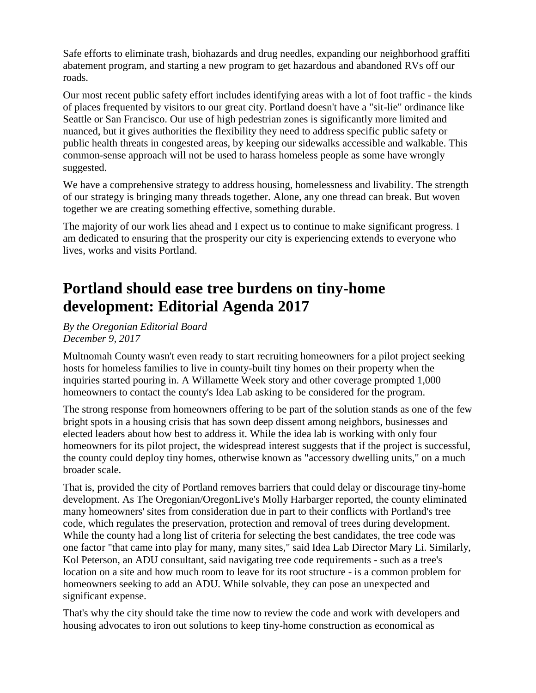Safe efforts to eliminate trash, biohazards and drug needles, expanding our neighborhood graffiti abatement program, and starting a new program to get hazardous and abandoned RVs off our roads.

Our most recent public safety effort includes identifying areas with a lot of foot traffic - the kinds of places frequented by visitors to our great city. Portland doesn't have a "sit-lie" ordinance like Seattle or San Francisco. Our use of high pedestrian zones is significantly more limited and nuanced, but it gives authorities the flexibility they need to address specific public safety or public health threats in congested areas, by keeping our sidewalks accessible and walkable. This common-sense approach will not be used to harass homeless people as some have wrongly suggested.

We have a comprehensive strategy to address housing, homelessness and livability. The strength of our strategy is bringing many threads together. Alone, any one thread can break. But woven together we are creating something effective, something durable.

The majority of our work lies ahead and I expect us to continue to make significant progress. I am dedicated to ensuring that the prosperity our city is experiencing extends to everyone who lives, works and visits Portland.

# **Portland should ease tree burdens on tiny-home development: Editorial Agenda 2017**

*By the Oregonian Editorial Board December 9, 2017*

Multnomah County wasn't even ready to start recruiting homeowners for a pilot project seeking hosts for homeless families to live in county-built tiny homes on their property when the inquiries started pouring in. A Willamette Week story and other coverage prompted 1,000 homeowners to contact the county's Idea Lab asking to be considered for the program.

The strong response from homeowners offering to be part of the solution stands as one of the few bright spots in a housing crisis that has sown deep dissent among neighbors, businesses and elected leaders about how best to address it. While the idea lab is working with only four homeowners for its pilot project, the widespread interest suggests that if the project is successful, the county could deploy tiny homes, otherwise known as "accessory dwelling units," on a much broader scale.

That is, provided the city of Portland removes barriers that could delay or discourage tiny-home development. As The Oregonian/OregonLive's Molly Harbarger reported, the county eliminated many homeowners' sites from consideration due in part to their conflicts with Portland's tree code, which regulates the preservation, protection and removal of trees during development. While the county had a long list of criteria for selecting the best candidates, the tree code was one factor "that came into play for many, many sites," said Idea Lab Director Mary Li. Similarly, Kol Peterson, an ADU consultant, said navigating tree code requirements - such as a tree's location on a site and how much room to leave for its root structure - is a common problem for homeowners seeking to add an ADU. While solvable, they can pose an unexpected and significant expense.

That's why the city should take the time now to review the code and work with developers and housing advocates to iron out solutions to keep tiny-home construction as economical as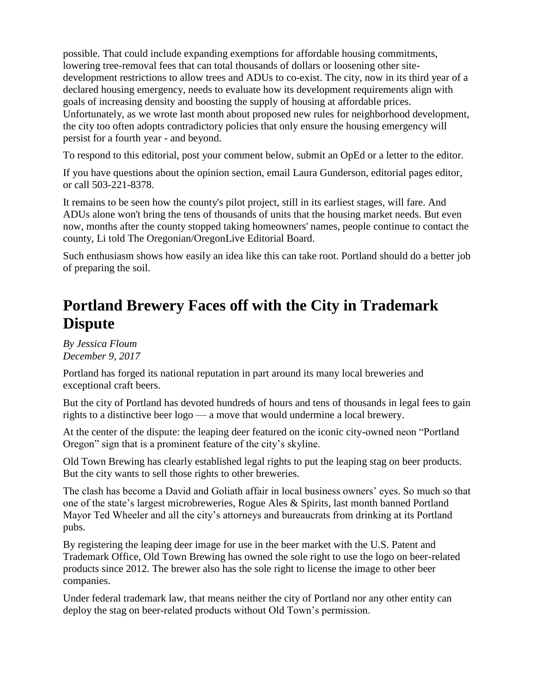possible. That could include expanding exemptions for affordable housing commitments, lowering tree-removal fees that can total thousands of dollars or loosening other sitedevelopment restrictions to allow trees and ADUs to co-exist. The city, now in its third year of a declared housing emergency, needs to evaluate how its development requirements align with goals of increasing density and boosting the supply of housing at affordable prices. Unfortunately, as we wrote last month about proposed new rules for neighborhood development, the city too often adopts contradictory policies that only ensure the housing emergency will persist for a fourth year - and beyond.

To respond to this editorial, post your comment below, submit an OpEd or a letter to the editor.

If you have questions about the opinion section, email Laura Gunderson, editorial pages editor, or call 503-221-8378.

It remains to be seen how the county's pilot project, still in its earliest stages, will fare. And ADUs alone won't bring the tens of thousands of units that the housing market needs. But even now, months after the county stopped taking homeowners' names, people continue to contact the county, Li told The Oregonian/OregonLive Editorial Board.

Such enthusiasm shows how easily an idea like this can take root. Portland should do a better job of preparing the soil.

## **Portland Brewery Faces off with the City in Trademark Dispute**

*By Jessica Floum December 9, 2017*

Portland has forged its national reputation in part around its many local breweries and exceptional craft beers.

But the city of Portland has devoted hundreds of hours and tens of thousands in legal fees to gain rights to a distinctive beer logo — a move that would undermine a local brewery.

At the center of the dispute: the leaping deer featured on the iconic city-owned neon "Portland Oregon" sign that is a prominent feature of the city's skyline.

Old Town Brewing has clearly established legal rights to put the leaping stag on beer products. But the city wants to sell those rights to other breweries.

The clash has become a David and Goliath affair in local business owners' eyes. So much so that one of the state's largest microbreweries, Rogue Ales & Spirits, last month banned Portland Mayor Ted Wheeler and all the city's attorneys and bureaucrats from drinking at its Portland pubs.

By registering the leaping deer image for use in the beer market with the U.S. Patent and Trademark Office, Old Town Brewing has owned the sole right to use the logo on beer-related products since 2012. The brewer also has the sole right to license the image to other beer companies.

Under federal trademark law, that means neither the city of Portland nor any other entity can deploy the stag on beer-related products without Old Town's permission.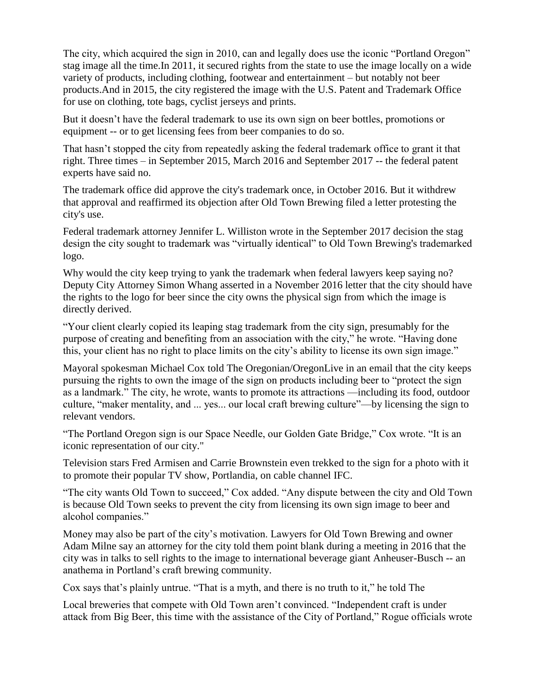The city, which acquired the sign in 2010, can and legally does use the iconic "Portland Oregon" stag image all the time.In 2011, it secured rights from the state to use the image locally on a wide variety of products, including clothing, footwear and entertainment – but notably not beer products.And in 2015, the city registered the image with the U.S. Patent and Trademark Office for use on clothing, tote bags, cyclist jerseys and prints.

But it doesn't have the federal trademark to use its own sign on beer bottles, promotions or equipment -- or to get licensing fees from beer companies to do so.

That hasn't stopped the city from repeatedly asking the federal trademark office to grant it that right. Three times – in September 2015, March 2016 and September 2017 -- the federal patent experts have said no.

The trademark office did approve the city's trademark once, in October 2016. But it withdrew that approval and reaffirmed its objection after Old Town Brewing filed a letter protesting the city's use.

Federal trademark attorney Jennifer L. Williston wrote in the September 2017 decision the stag design the city sought to trademark was "virtually identical" to Old Town Brewing's trademarked logo.

Why would the city keep trying to yank the trademark when federal lawyers keep saying no? Deputy City Attorney Simon Whang asserted in a November 2016 letter that the city should have the rights to the logo for beer since the city owns the physical sign from which the image is directly derived.

"Your client clearly copied its leaping stag trademark from the city sign, presumably for the purpose of creating and benefiting from an association with the city," he wrote. "Having done this, your client has no right to place limits on the city's ability to license its own sign image."

Mayoral spokesman Michael Cox told The Oregonian/OregonLive in an email that the city keeps pursuing the rights to own the image of the sign on products including beer to "protect the sign as a landmark." The city, he wrote, wants to promote its attractions —including its food, outdoor culture, "maker mentality, and ... yes... our local craft brewing culture"—by licensing the sign to relevant vendors.

"The Portland Oregon sign is our Space Needle, our Golden Gate Bridge," Cox wrote. "It is an iconic representation of our city."

Television stars Fred Armisen and Carrie Brownstein even trekked to the sign for a photo with it to promote their popular TV show, Portlandia, on cable channel IFC.

"The city wants Old Town to succeed," Cox added. "Any dispute between the city and Old Town is because Old Town seeks to prevent the city from licensing its own sign image to beer and alcohol companies."

Money may also be part of the city's motivation. Lawyers for Old Town Brewing and owner Adam Milne say an attorney for the city told them point blank during a meeting in 2016 that the city was in talks to sell rights to the image to international beverage giant Anheuser-Busch -- an anathema in Portland's craft brewing community.

Cox says that's plainly untrue. "That is a myth, and there is no truth to it," he told The

Local breweries that compete with Old Town aren't convinced. "Independent craft is under attack from Big Beer, this time with the assistance of the City of Portland," Rogue officials wrote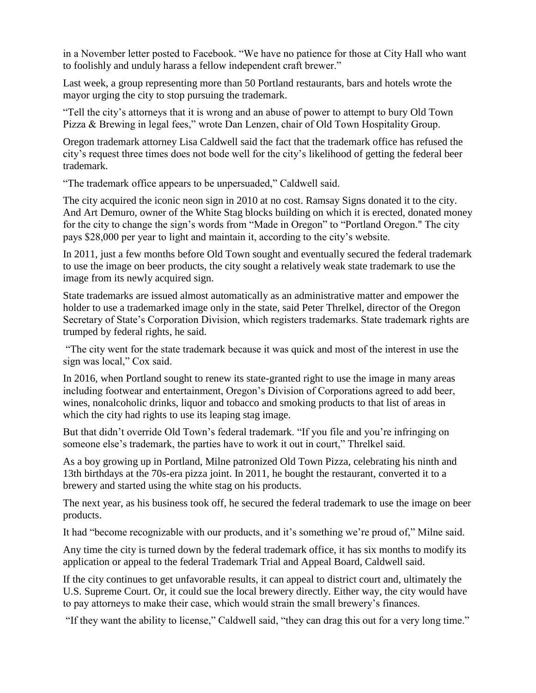in a November letter posted to Facebook. "We have no patience for those at City Hall who want to foolishly and unduly harass a fellow independent craft brewer."

Last week, a group representing more than 50 Portland restaurants, bars and hotels wrote the mayor urging the city to stop pursuing the trademark.

"Tell the city's attorneys that it is wrong and an abuse of power to attempt to bury Old Town Pizza & Brewing in legal fees," wrote Dan Lenzen, chair of Old Town Hospitality Group.

Oregon trademark attorney Lisa Caldwell said the fact that the trademark office has refused the city's request three times does not bode well for the city's likelihood of getting the federal beer trademark.

"The trademark office appears to be unpersuaded," Caldwell said.

The city acquired the iconic neon sign in 2010 at no cost. Ramsay Signs donated it to the city. And Art Demuro, owner of the White Stag blocks building on which it is erected, donated money for the city to change the sign's words from "Made in Oregon" to "Portland Oregon." The city pays \$28,000 per year to light and maintain it, according to the city's website.

In 2011, just a few months before Old Town sought and eventually secured the federal trademark to use the image on beer products, the city sought a relatively weak state trademark to use the image from its newly acquired sign.

State trademarks are issued almost automatically as an administrative matter and empower the holder to use a trademarked image only in the state, said Peter Threlkel, director of the Oregon Secretary of State's Corporation Division, which registers trademarks. State trademark rights are trumped by federal rights, he said.

"The city went for the state trademark because it was quick and most of the interest in use the sign was local," Cox said.

In 2016, when Portland sought to renew its state-granted right to use the image in many areas including footwear and entertainment, Oregon's Division of Corporations agreed to add beer, wines, nonalcoholic drinks, liquor and tobacco and smoking products to that list of areas in which the city had rights to use its leaping stag image.

But that didn't override Old Town's federal trademark. "If you file and you're infringing on someone else's trademark, the parties have to work it out in court," Threlkel said.

As a boy growing up in Portland, Milne patronized Old Town Pizza, celebrating his ninth and 13th birthdays at the 70s-era pizza joint. In 2011, he bought the restaurant, converted it to a brewery and started using the white stag on his products.

The next year, as his business took off, he secured the federal trademark to use the image on beer products.

It had "become recognizable with our products, and it's something we're proud of," Milne said.

Any time the city is turned down by the federal trademark office, it has six months to modify its application or appeal to the federal Trademark Trial and Appeal Board, Caldwell said.

If the city continues to get unfavorable results, it can appeal to district court and, ultimately the U.S. Supreme Court. Or, it could sue the local brewery directly. Either way, the city would have to pay attorneys to make their case, which would strain the small brewery's finances.

"If they want the ability to license," Caldwell said, "they can drag this out for a very long time."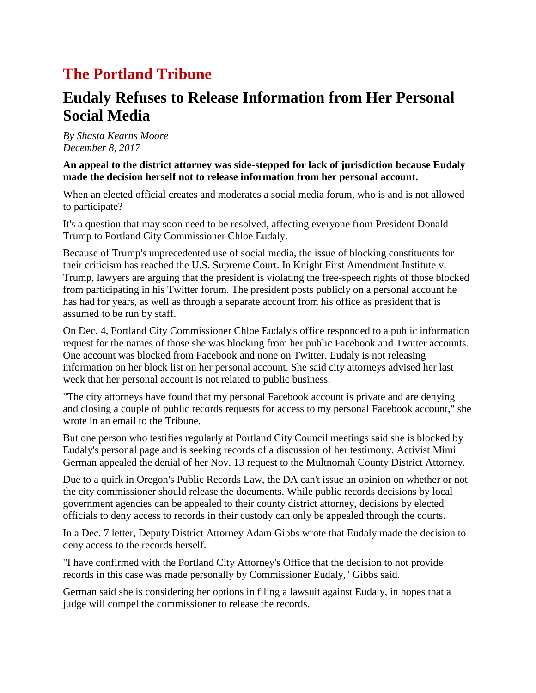### **The Portland Tribune**

### **Eudaly Refuses to Release Information from Her Personal Social Media**

*By Shasta Kearns Moore December 8, 2017*

#### **An appeal to the district attorney was side-stepped for lack of jurisdiction because Eudaly made the decision herself not to release information from her personal account.**

When an elected official creates and moderates a social media forum, who is and is not allowed to participate?

It's a question that may soon need to be resolved, affecting everyone from President Donald Trump to Portland City Commissioner Chloe Eudaly.

Because of Trump's unprecedented use of social media, the issue of blocking constituents for their criticism has reached the U.S. Supreme Court. In Knight First Amendment Institute v. Trump, lawyers are arguing that the president is violating the free-speech rights of those blocked from participating in his Twitter forum. The president posts publicly on a personal account he has had for years, as well as through a separate account from his office as president that is assumed to be run by staff.

On Dec. 4, Portland City Commissioner Chloe Eudaly's office responded to a public information request for the names of those she was blocking from her public Facebook and Twitter accounts. One account was blocked from Facebook and none on Twitter. Eudaly is not releasing information on her block list on her personal account. She said city attorneys advised her last week that her personal account is not related to public business.

"The city attorneys have found that my personal Facebook account is private and are denying and closing a couple of public records requests for access to my personal Facebook account," she wrote in an email to the Tribune.

But one person who testifies regularly at Portland City Council meetings said she is blocked by Eudaly's personal page and is seeking records of a discussion of her testimony. Activist Mimi German appealed the denial of her Nov. 13 request to the Multnomah County District Attorney.

Due to a quirk in Oregon's Public Records Law, the DA can't issue an opinion on whether or not the city commissioner should release the documents. While public records decisions by local government agencies can be appealed to their county district attorney, decisions by elected officials to deny access to records in their custody can only be appealed through the courts.

In a Dec. 7 letter, Deputy District Attorney Adam Gibbs wrote that Eudaly made the decision to deny access to the records herself.

"I have confirmed with the Portland City Attorney's Office that the decision to not provide records in this case was made personally by Commissioner Eudaly," Gibbs said.

German said she is considering her options in filing a lawsuit against Eudaly, in hopes that a judge will compel the commissioner to release the records.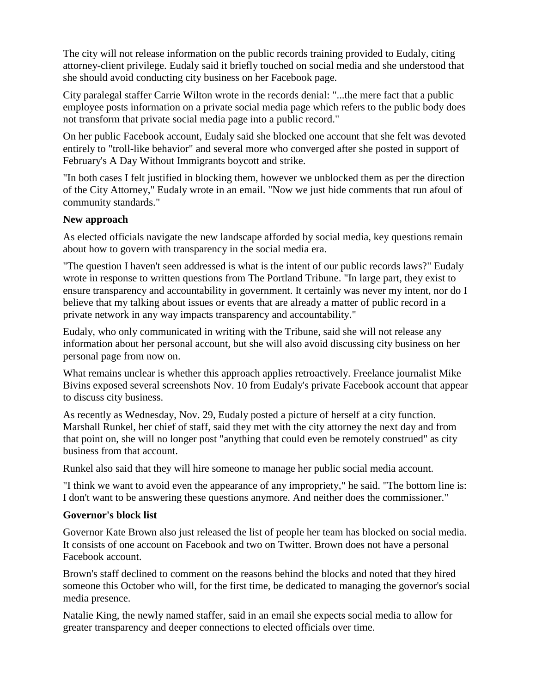The city will not release information on the public records training provided to Eudaly, citing attorney-client privilege. Eudaly said it briefly touched on social media and she understood that she should avoid conducting city business on her Facebook page.

City paralegal staffer Carrie Wilton wrote in the records denial: "...the mere fact that a public employee posts information on a private social media page which refers to the public body does not transform that private social media page into a public record."

On her public Facebook account, Eudaly said she blocked one account that she felt was devoted entirely to "troll-like behavior" and several more who converged after she posted in support of February's A Day Without Immigrants boycott and strike.

"In both cases I felt justified in blocking them, however we unblocked them as per the direction of the City Attorney," Eudaly wrote in an email. "Now we just hide comments that run afoul of community standards."

#### **New approach**

As elected officials navigate the new landscape afforded by social media, key questions remain about how to govern with transparency in the social media era.

"The question I haven't seen addressed is what is the intent of our public records laws?" Eudaly wrote in response to written questions from The Portland Tribune. "In large part, they exist to ensure transparency and accountability in government. It certainly was never my intent, nor do I believe that my talking about issues or events that are already a matter of public record in a private network in any way impacts transparency and accountability."

Eudaly, who only communicated in writing with the Tribune, said she will not release any information about her personal account, but she will also avoid discussing city business on her personal page from now on.

What remains unclear is whether this approach applies retroactively. Freelance journalist Mike Bivins exposed several screenshots Nov. 10 from Eudaly's private Facebook account that appear to discuss city business.

As recently as Wednesday, Nov. 29, Eudaly posted a picture of herself at a city function. Marshall Runkel, her chief of staff, said they met with the city attorney the next day and from that point on, she will no longer post "anything that could even be remotely construed" as city business from that account.

Runkel also said that they will hire someone to manage her public social media account.

"I think we want to avoid even the appearance of any impropriety," he said. "The bottom line is: I don't want to be answering these questions anymore. And neither does the commissioner."

### **Governor's block list**

Governor Kate Brown also just released the list of people her team has blocked on social media. It consists of one account on Facebook and two on Twitter. Brown does not have a personal Facebook account.

Brown's staff declined to comment on the reasons behind the blocks and noted that they hired someone this October who will, for the first time, be dedicated to managing the governor's social media presence.

Natalie King, the newly named staffer, said in an email she expects social media to allow for greater transparency and deeper connections to elected officials over time.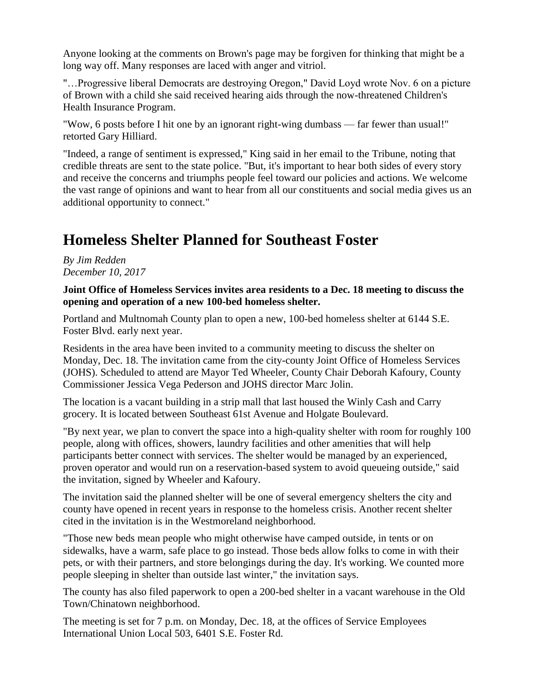Anyone looking at the comments on Brown's page may be forgiven for thinking that might be a long way off. Many responses are laced with anger and vitriol.

"…Progressive liberal Democrats are destroying Oregon," David Loyd wrote Nov. 6 on a picture of Brown with a child she said received hearing aids through the now-threatened Children's Health Insurance Program.

"Wow, 6 posts before I hit one by an ignorant right-wing dumbass — far fewer than usual!" retorted Gary Hilliard.

"Indeed, a range of sentiment is expressed," King said in her email to the Tribune, noting that credible threats are sent to the state police. "But, it's important to hear both sides of every story and receive the concerns and triumphs people feel toward our policies and actions. We welcome the vast range of opinions and want to hear from all our constituents and social media gives us an additional opportunity to connect."

# **Homeless Shelter Planned for Southeast Foster**

*By Jim Redden December 10, 2017*

#### **Joint Office of Homeless Services invites area residents to a Dec. 18 meeting to discuss the opening and operation of a new 100-bed homeless shelter.**

Portland and Multnomah County plan to open a new, 100-bed homeless shelter at 6144 S.E. Foster Blvd. early next year.

Residents in the area have been invited to a community meeting to discuss the shelter on Monday, Dec. 18. The invitation came from the city-county Joint Office of Homeless Services (JOHS). Scheduled to attend are Mayor Ted Wheeler, County Chair Deborah Kafoury, County Commissioner Jessica Vega Pederson and JOHS director Marc Jolin.

The location is a vacant building in a strip mall that last housed the Winly Cash and Carry grocery. It is located between Southeast 61st Avenue and Holgate Boulevard.

"By next year, we plan to convert the space into a high-quality shelter with room for roughly 100 people, along with offices, showers, laundry facilities and other amenities that will help participants better connect with services. The shelter would be managed by an experienced, proven operator and would run on a reservation-based system to avoid queueing outside," said the invitation, signed by Wheeler and Kafoury.

The invitation said the planned shelter will be one of several emergency shelters the city and county have opened in recent years in response to the homeless crisis. Another recent shelter cited in the invitation is in the Westmoreland neighborhood.

"Those new beds mean people who might otherwise have camped outside, in tents or on sidewalks, have a warm, safe place to go instead. Those beds allow folks to come in with their pets, or with their partners, and store belongings during the day. It's working. We counted more people sleeping in shelter than outside last winter," the invitation says.

The county has also filed paperwork to open a 200-bed shelter in a vacant warehouse in the Old Town/Chinatown neighborhood.

The meeting is set for 7 p.m. on Monday, Dec. 18, at the offices of Service Employees International Union Local 503, 6401 S.E. Foster Rd.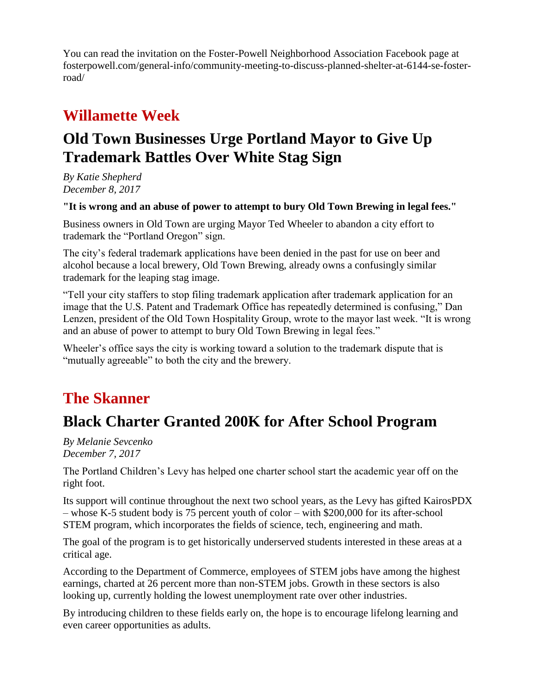You can read the invitation on the Foster-Powell Neighborhood Association Facebook page at fosterpowell.com/general-info/community-meeting-to-discuss-planned-shelter-at-6144-se-fosterroad/

# **Willamette Week**

# **Old Town Businesses Urge Portland Mayor to Give Up Trademark Battles Over White Stag Sign**

*By Katie Shepherd December 8, 2017*

**"It is wrong and an abuse of power to attempt to bury Old Town Brewing in legal fees."**

Business owners in Old Town are urging Mayor Ted Wheeler to abandon a city effort to trademark the "Portland Oregon" sign.

The city's federal trademark applications have been denied in the past for use on beer and alcohol because a local brewery, Old Town Brewing, already owns a confusingly similar trademark for the leaping stag image.

"Tell your city staffers to stop filing trademark application after trademark application for an image that the U.S. Patent and Trademark Office has repeatedly determined is confusing," Dan Lenzen, president of the Old Town Hospitality Group, wrote to the mayor last week. "It is wrong and an abuse of power to attempt to bury Old Town Brewing in legal fees."

Wheeler's office says the city is working toward a solution to the trademark dispute that is "mutually agreeable" to both the city and the brewery.

### **The Skanner**

# **Black Charter Granted 200K for After School Program**

*By Melanie Sevcenko December 7, 2017*

The Portland Children's Levy has helped one charter school start the academic year off on the right foot.

Its support will continue throughout the next two school years, as the Levy has gifted KairosPDX – whose K-5 student body is 75 percent youth of color – with \$200,000 for its after-school STEM program, which incorporates the fields of science, tech, engineering and math.

The goal of the program is to get historically underserved students interested in these areas at a critical age.

According to the Department of Commerce, employees of STEM jobs have among the highest earnings, charted at 26 percent more than non-STEM jobs. Growth in these sectors is also looking up, currently holding the lowest unemployment rate over other industries.

By introducing children to these fields early on, the hope is to encourage lifelong learning and even career opportunities as adults.